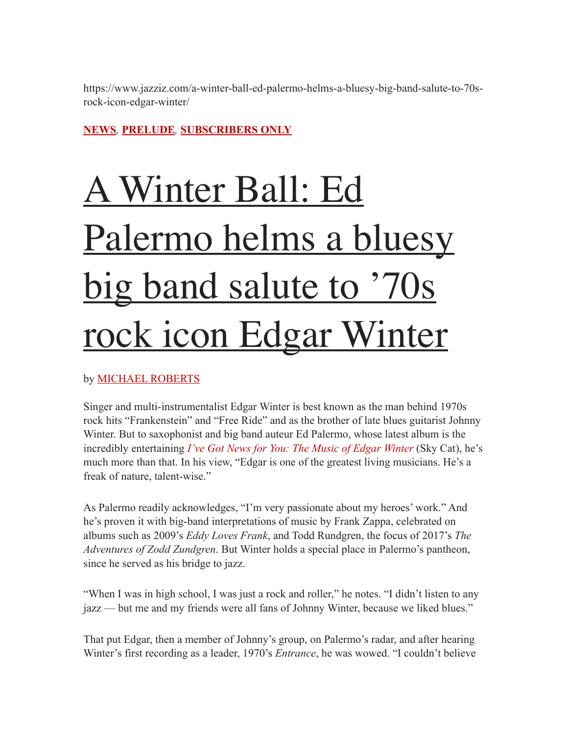https://www.jazziz.com/a-winter-ball-ed-palermo-helms-a-bluesy-big-band-salute-to-70srock-icon-edgar-winter/

## **[NEWS](https://www.jazziz.com/category/news/)***,* **[PRELUDE](https://www.jazziz.com/category/magazine/prelude/)***,* **[SUBSCRIBERS ONLY](https://www.jazziz.com/category/subscribers-only/)**

## [A Winter Ball: Ed](https://www.jazziz.com/a-winter-ball-ed-palermo-helms-a-bluesy-big-band-salute-to-70s-rock-icon-edgar-winter/)  Palermo helms a bluesy big band salute to '70s [rock icon Edgar Winter](https://www.jazziz.com/a-winter-ball-ed-palermo-helms-a-bluesy-big-band-salute-to-70s-rock-icon-edgar-winter/)

by [MICHAEL ROBERTS](https://www.jazziz.com/author/michaelroberts/)

Singer and multi-instrumentalist Edgar Winter is best known as the man behind 1970s rock hits "Frankenstein" and "Free Ride" and as the brother of late blues guitarist Johnny Winter. But to saxophonist and big band auteur Ed Palermo, whose latest album is the incredibly entertaining *[I've Got News for You: The Music of Edgar Winter](https://palermobigband.bandcamp.com/album/ive-got-news-for-you-the-music-of-edgar-winter)* (Sky Cat), he's much more than that. In his view, "Edgar is one of the greatest living musicians. He's a freak of nature, talent-wise."

As Palermo readily acknowledges, "I'm very passionate about my heroes' work." And he's proven it with big-band interpretations of music by Frank Zappa, celebrated on albums such as 2009's *Eddy Loves Frank*, and Todd Rundgren, the focus of 2017's *The Adventures of Zodd Zundgren*. But Winter holds a special place in Palermo's pantheon, since he served as his bridge to jazz.

"When I was in high school, I was just a rock and roller," he notes. "I didn't listen to any jazz — but me and my friends were all fans of Johnny Winter, because we liked blues."

That put Edgar, then a member of Johnny's group, on Palermo's radar, and after hearing Winter's first recording as a leader, 1970's *Entrance*, he was wowed. "I couldn't believe